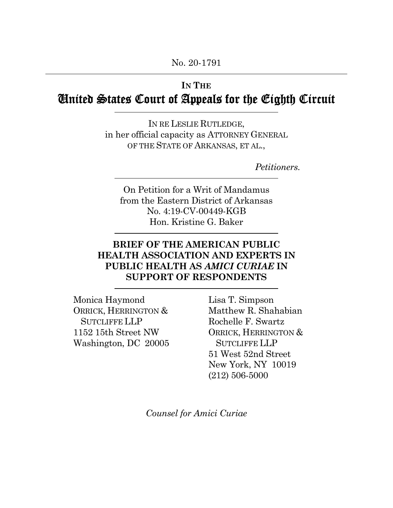# **IN THE**  United States Court of Appeals for the Eighth Circuit

 IN RE LESLIE RUTLEDGE, in her official capacity as ATTORNEY GENERAL OF THE STATE OF ARKANSAS, ET AL.,

*Petitioners.* 

 On Petition for a Writ of Mandamus from the Eastern District of Arkansas Hon. Kristine G. Baker No. 4:19-CV-00449-KGB

### **BRIEF OF THE AMERICAN PUBLIC HEALTH ASSOCIATION AND EXPERTS IN PUBLIC HEALTH AS** *AMICI CURIAE* **IN SUPPORT OF RESPONDENTS**

 Monica Haymond 1152 15th Street NW Washington, DC 20005 ORRICK, HERRINGTON & SUTCLIFFE LLP

 Lisa T. Simpson Matthew R. Shahabian Rochelle F. Swartz 51 West 52nd Street New York, NY 10019 ORRICK, HERRINGTON & SUTCLIFFE LLP (212) 506-5000

 *Counsel for Amici Curiae*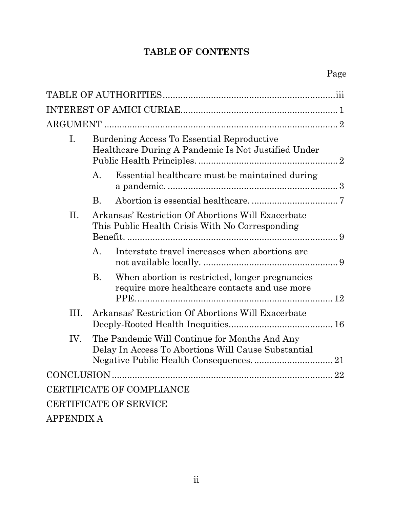# **TABLE OF CONTENTS**

| I.                        | Burdening Access To Essential Reproductive<br>Healthcare During A Pandemic Is Not Justified Under |                                                                                                       |    |  |
|---------------------------|---------------------------------------------------------------------------------------------------|-------------------------------------------------------------------------------------------------------|----|--|
|                           | $A_{\cdot}$                                                                                       | Essential healthcare must be maintained during                                                        |    |  |
|                           | <b>B.</b>                                                                                         |                                                                                                       |    |  |
| II.                       |                                                                                                   | Arkansas' Restriction Of Abortions Will Exacerbate<br>This Public Health Crisis With No Corresponding |    |  |
|                           | A.                                                                                                | Interstate travel increases when abortions are                                                        |    |  |
|                           | <b>B.</b>                                                                                         | When abortion is restricted, longer pregnancies<br>require more healthcare contacts and use more      |    |  |
| III.                      |                                                                                                   | Arkansas' Restriction Of Abortions Will Exacerbate                                                    |    |  |
| IV.                       |                                                                                                   | The Pandemic Will Continue for Months And Any<br>Delay In Access To Abortions Will Cause Substantial  |    |  |
| CONCLUSION                |                                                                                                   |                                                                                                       | 22 |  |
| CERTIFICATE OF COMPLIANCE |                                                                                                   |                                                                                                       |    |  |
| CERTIFICATE OF SERVICE    |                                                                                                   |                                                                                                       |    |  |
| <b>APPENDIX A</b>         |                                                                                                   |                                                                                                       |    |  |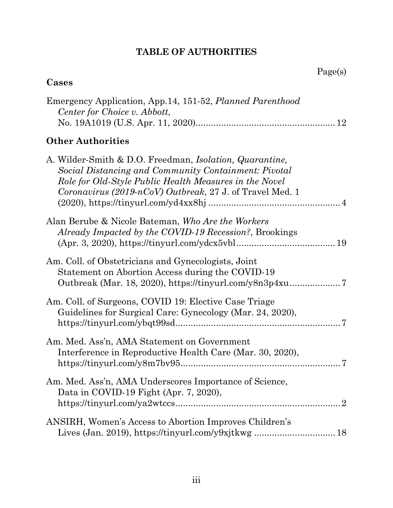### **TABLE OF AUTHORITIES**

# <span id="page-2-0"></span>**Cases**

| Emergency Application, App. 14, 151-52, Planned Parenthood<br>Center for Choice v. Abbott,                                                                                                                                                            |
|-------------------------------------------------------------------------------------------------------------------------------------------------------------------------------------------------------------------------------------------------------|
| <b>Other Authorities</b>                                                                                                                                                                                                                              |
| A. Wilder-Smith & D.O. Freedman, <i>Isolation</i> , <i>Quarantine</i> ,<br>Social Distancing and Community Containment: Pivotal<br>Role for Old-Style Public Health Measures in the Novel<br>Coronavirus (2019-nCoV) Outbreak, 27 J. of Travel Med. 1 |
| Alan Berube & Nicole Bateman, Who Are the Workers<br>Already Impacted by the COVID-19 Recession?, Brookings                                                                                                                                           |
| Am. Coll. of Obstetricians and Gynecologists, Joint<br>Statement on Abortion Access during the COVID-19                                                                                                                                               |
| Am. Coll. of Surgeons, COVID 19: Elective Case Triage<br>Guidelines for Surgical Care: Gynecology (Mar. 24, 2020),                                                                                                                                    |
| Am. Med. Ass'n, AMA Statement on Government<br>Interference in Reproductive Health Care (Mar. 30, 2020),                                                                                                                                              |
| Am. Med. Ass'n, AMA Underscores Importance of Science,<br>Data in COVID-19 Fight (Apr. 7, 2020),                                                                                                                                                      |
| ANSIRH, Women's Access to Abortion Improves Children's                                                                                                                                                                                                |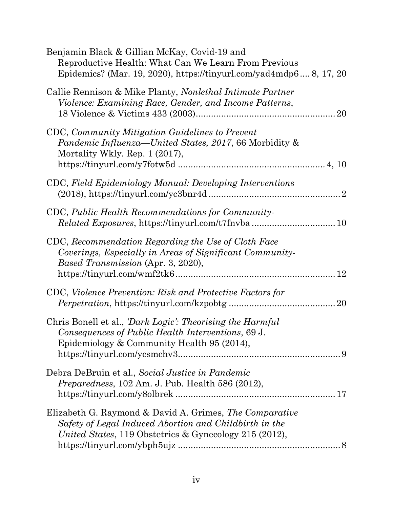<span id="page-3-0"></span>

| Benjamin Black & Gillian McKay, Covid-19 and<br>Reproductive Health: What Can We Learn From Previous<br>Epidemics? (Mar. 19, 2020), https://tinyurl.com/yad4mdp68, 17, 20   |
|-----------------------------------------------------------------------------------------------------------------------------------------------------------------------------|
| Callie Rennison & Mike Planty, Nonlethal Intimate Partner<br>Violence: Examining Race, Gender, and Income Patterns,                                                         |
| CDC, Community Mitigation Guidelines to Prevent<br><i>Pandemic Influenza—United States, 2017, 66 Morbidity &amp;</i><br>Mortality Wkly. Rep. 1 (2017),                      |
| CDC, Field Epidemiology Manual: Developing Interventions                                                                                                                    |
| CDC, Public Health Recommendations for Community-                                                                                                                           |
| CDC, Recommendation Regarding the Use of Cloth Face<br>Coverings, Especially in Areas of Significant Community-<br>Based Transmission (Apr. 3, 2020),                       |
| CDC, Violence Prevention: Risk and Protective Factors for<br>20                                                                                                             |
| Chris Bonell et al., <i>Dark Logic': Theorising the Harmful</i><br>Consequences of Public Health Interventions, 69 J.<br>Epidemiology & Community Health 95 (2014),         |
| Debra DeBruin et al., Social Justice in Pandemic<br><i>Preparedness</i> , 102 Am. J. Pub. Health 586 (2012),                                                                |
| Elizabeth G. Raymond & David A. Grimes, The Comparative<br>Safety of Legal Induced Abortion and Childbirth in the<br>United States, 119 Obstetrics & Gynecology 215 (2012), |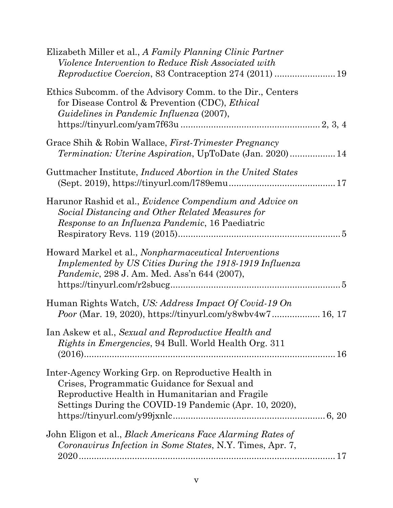| Elizabeth Miller et al., A Family Planning Clinic Partner<br>Violence Intervention to Reduce Risk Associated with                                                                                                |
|------------------------------------------------------------------------------------------------------------------------------------------------------------------------------------------------------------------|
| Ethics Subcomm. of the Advisory Comm. to the Dir., Centers<br>for Disease Control & Prevention (CDC), <i>Ethical</i><br>Guidelines in Pandemic Influenza (2007),                                                 |
| Grace Shih & Robin Wallace, <i>First-Trimester Pregnancy</i><br><i>Termination: Uterine Aspiration, UpToDate (Jan. 2020)</i> 14                                                                                  |
| Guttmacher Institute, <i>Induced Abortion</i> in the United States                                                                                                                                               |
| Harunor Rashid et al., <i>Evidence Compendium and Advice on</i><br>Social Distancing and Other Related Measures for<br><i>Response to an Influenza Pandemic</i> , 16 Paediatric                                  |
| Howard Markel et al., Nonpharmaceutical Interventions<br>Implemented by US Cities During the 1918-1919 Influenza<br><i>Pandemic</i> , 298 J. Am. Med. Ass'n 644 (2007),                                          |
| Human Rights Watch, US: Address Impact Of Covid-19 On<br><i>Poor</i> (Mar. 19, 2020), https://tinyurl.com/y8wbv4w7 16, 17                                                                                        |
| Ian Askew et al., Sexual and Reproductive Health and<br><i>Rights in Emergencies</i> , 94 Bull. World Health Org. 311                                                                                            |
| Inter-Agency Working Grp. on Reproductive Health in<br>Crises, Programmatic Guidance for Sexual and<br>Reproductive Health in Humanitarian and Fragile<br>Settings During the COVID-19 Pandemic (Apr. 10, 2020), |
| John Eligon et al., <i>Black Americans Face Alarming Rates of</i><br>Coronavirus Infection in Some States, N.Y. Times, Apr. 7,                                                                                   |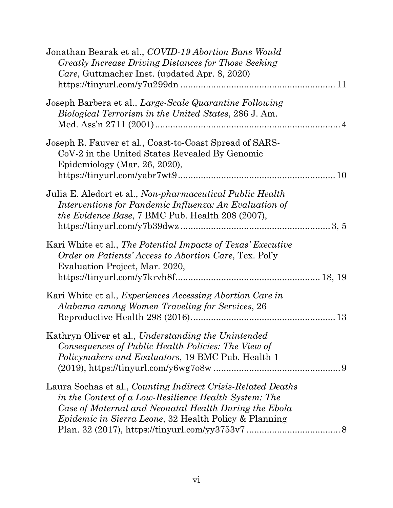| Jonathan Bearak et al., COVID-19 Abortion Bans Would<br>Greatly Increase Driving Distances for Those Seeking<br>Care, Guttmacher Inst. (updated Apr. 8, 2020)                                                                                   |  |
|-------------------------------------------------------------------------------------------------------------------------------------------------------------------------------------------------------------------------------------------------|--|
| Joseph Barbera et al., Large-Scale Quarantine Following<br>Biological Terrorism in the United States, 286 J. Am.                                                                                                                                |  |
| Joseph R. Fauver et al., Coast-to-Coast Spread of SARS-<br>CoV-2 in the United States Revealed By Genomic<br>Epidemiology (Mar. 26, 2020),                                                                                                      |  |
| Julia E. Aledort et al., Non-pharmaceutical Public Health<br>Interventions for Pandemic Influenza: An Evaluation of<br>the Evidence Base, 7 BMC Pub. Health 208 (2007),                                                                         |  |
| Kari White et al., The Potential Impacts of Texas' Executive<br><i>Order on Patients' Access to Abortion Care, Tex. Pol'y</i><br>Evaluation Project, Mar. 2020,                                                                                 |  |
| Kari White et al., <i>Experiences Accessing Abortion Care in</i><br>Alabama among Women Traveling for Services, 26                                                                                                                              |  |
| Kathryn Oliver et al., Understanding the Unintended<br>Consequences of Public Health Policies: The View of<br><i>Policymakers and Evaluators</i> , 19 BMC Pub. Health 1                                                                         |  |
| Laura Sochas et al., Counting Indirect Crisis-Related Deaths<br>in the Context of a Low-Resilience Health System: The<br>Case of Maternal and Neonatal Health During the Ebola<br><i>Epidemic in Sierra Leone</i> , 32 Health Policy & Planning |  |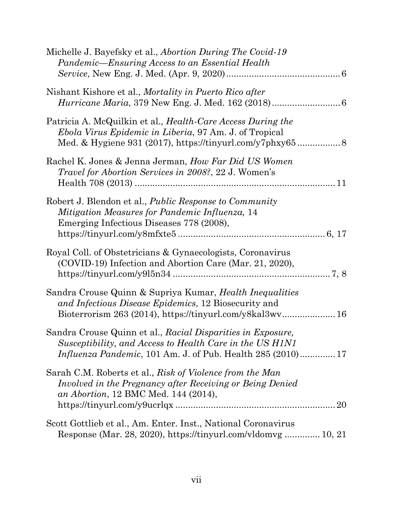| Michelle J. Bayefsky et al., <i>Abortion During The Covid-19</i><br>Pandemic—Ensuring Access to an Essential Health                                                                            |
|------------------------------------------------------------------------------------------------------------------------------------------------------------------------------------------------|
| Nishant Kishore et al., <i>Mortality in Puerto Rico after</i>                                                                                                                                  |
| Patricia A. McQuilkin et al., <i>Health-Care Access During the</i><br><i>Ebola Virus Epidemic in Liberia</i> , 97 Am. J. of Tropical                                                           |
| Rachel K. Jones & Jenna Jerman, How Far Did US Women<br><i>Travel for Abortion Services in 2008?, 22 J. Women's</i>                                                                            |
| Robert J. Blendon et al., <i>Public Response to Community</i><br>Mitigation Measures for Pandemic Influenza, 14<br>Emerging Infectious Diseases 778 (2008),                                    |
| Royal Coll. of Obstetricians & Gynaecologists, Coronavirus<br>(COVID-19) Infection and Abortion Care (Mar. 21, 2020),                                                                          |
| Sandra Crouse Quinn & Supriya Kumar, Health Inequalities<br>and Infectious Disease Epidemics, 12 Biosecurity and<br>Bioterrorism 263 (2014), https://tinyurl.com/y8kal3wv 16                   |
| Sandra Crouse Quinn et al., Racial Disparities in Exposure,<br>Susceptibility, and Access to Health Care in the US H1N1<br><i>Influenza Pandemic</i> , 101 Am. J. of Pub. Health 285 (2010) 17 |
| Sarah C.M. Roberts et al., Risk of Violence from the Man<br>Involved in the Pregnancy after Receiving or Being Denied<br>an Abortion, 12 BMC Med. 144 (2014),                                  |
| Scott Gottlieb et al., Am. Enter. Inst., National Coronavirus<br>Response (Mar. 28, 2020), https://tinyurl.com/vldomvg 10, 21                                                                  |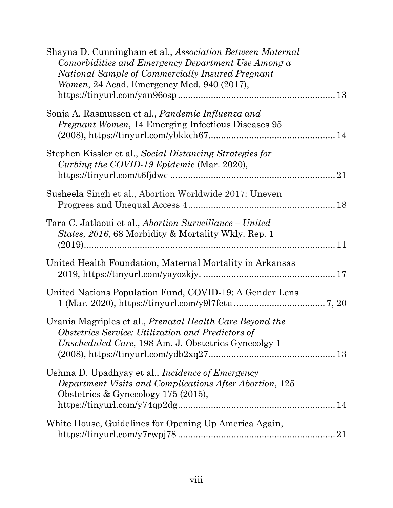| Shayna D. Cunningham et al., Association Between Maternal<br>Comorbidities and Emergency Department Use Among a<br>National Sample of Commercially Insured Pregnant<br><i>Women</i> , 24 Acad. Emergency Med. 940 (2017), |  |
|---------------------------------------------------------------------------------------------------------------------------------------------------------------------------------------------------------------------------|--|
| Sonja A. Rasmussen et al., Pandemic Influenza and<br><i>Pregnant Women</i> , 14 Emerging Infectious Diseases 95                                                                                                           |  |
| Stephen Kissler et al., Social Distancing Strategies for<br>Curbing the COVID-19 Epidemic (Mar. 2020),                                                                                                                    |  |
| Susheela Singh et al., Abortion Worldwide 2017: Uneven                                                                                                                                                                    |  |
| Tara C. Jatlaoui et al., <i>Abortion Surveillance – United</i><br><i>States, 2016, 68 Morbidity &amp; Mortality Wkly. Rep. 1</i>                                                                                          |  |
| United Health Foundation, Maternal Mortality in Arkansas                                                                                                                                                                  |  |
| United Nations Population Fund, COVID-19: A Gender Lens                                                                                                                                                                   |  |
| Urania Magriples et al., <i>Prenatal Health Care Beyond the</i><br>Obstetrics Service: Utilization and Predictors of<br>Unscheduled Care, 198 Am. J. Obstetrics Gynecolgy 1                                               |  |
| Ushma D. Upadhyay et al., <i>Incidence of Emergency</i><br>Department Visits and Complications After Abortion, 125<br>Obstetrics & Gynecology 175 $(2015)$ ,                                                              |  |
| White House, Guidelines for Opening Up America Again,                                                                                                                                                                     |  |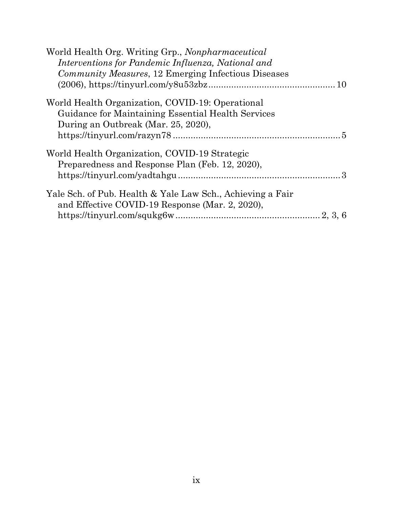| World Health Org. Writing Grp., Nonpharmaceutical                                                                 |
|-------------------------------------------------------------------------------------------------------------------|
| Interventions for Pandemic Influenza, National and<br><i>Community Measures</i> , 12 Emerging Infectious Diseases |
|                                                                                                                   |
|                                                                                                                   |
| World Health Organization, COVID-19: Operational                                                                  |
| Guidance for Maintaining Essential Health Services                                                                |
| During an Outbreak (Mar. 25, 2020),                                                                               |
|                                                                                                                   |
| World Health Organization, COVID-19 Strategic                                                                     |
| Preparedness and Response Plan (Feb. 12, 2020),                                                                   |
|                                                                                                                   |
| Yale Sch. of Pub. Health & Yale Law Sch., Achieving a Fair                                                        |
| and Effective COVID-19 Response (Mar. 2, 2020),                                                                   |
|                                                                                                                   |
|                                                                                                                   |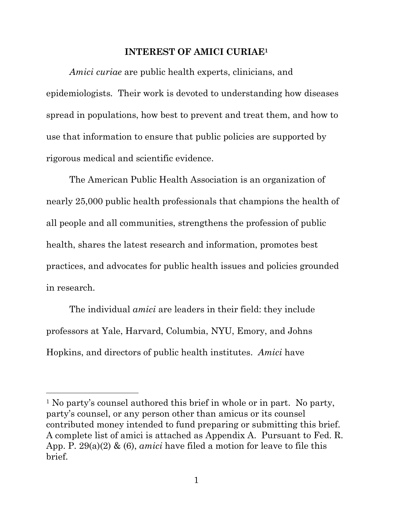#### **INTEREST OF AMICI CURIAE1**

<span id="page-9-0"></span> *Amici curiae* are public health experts, clinicians, and epidemiologists*.* Their work is devoted to understanding how diseases spread in populations, how best to prevent and treat them, and how to use that information to ensure that public policies are supported by rigorous medical and scientific evidence.

 The American Public Health Association is an organization of nearly 25,000 public health professionals that champions the health of all people and all communities, strengthens the profession of public health, shares the latest research and information, promotes best practices, and advocates for public health issues and policies grounded in research.

 The individual *amici* are leaders in their field: they include professors at Yale, Harvard, Columbia, NYU, Emory, and Johns Hopkins, and directors of public health institutes. *Amici* have

<sup>&</sup>lt;sup>1</sup> No party's counsel authored this brief in whole or in part. No party, party's counsel, or any person other than amicus or its counsel contributed money intended to fund preparing or submitting this brief. A complete list of amici is attached as Appendix A. Pursuant to Fed. R. App. P. 29(a)(2) & (6), *amici* have filed a motion for leave to file this brief.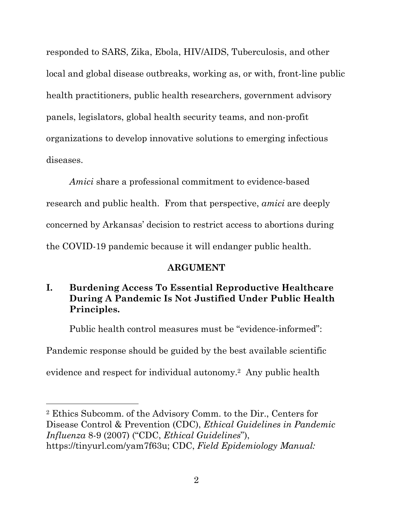<span id="page-10-0"></span> responded to SARS, Zika, Ebola, HIV/AIDS, Tuberculosis, and other local and global disease outbreaks, working as, or with, front-line public panels, legislators, global health security teams, and non-profit organizations to develop innovative solutions to emerging infectious diseases. health practitioners, public health researchers, government advisory

 *Amici* share a professional commitment to evidence-based research and public health. From that perspective, *amici* are deeply concerned by Arkansas' decision to restrict access to abortions during the COVID-19 pandemic because it will endanger public health.

### **ARGUMENT**

# **I. Burdening Access To Essential Reproductive Healthcare During A Pandemic Is Not Justified Under Public Health Principles.**

Public health control measures must be "evidence-informed":

Pandemic response should be guided by the best available scientific

evidence and respect for individual autonomy.2 Any public health

 2 Ethics Subcomm. of the Advisory Comm. to the Dir., Centers for Disease Control & Prevention (CDC), *Ethical Guidelines in Pandemic Influenza* 8-9 (2007) ("CDC, *Ethical Guidelines*"), https://tinyurl.com/yam7f63u; CDC, *Field Epidemiology Manual:*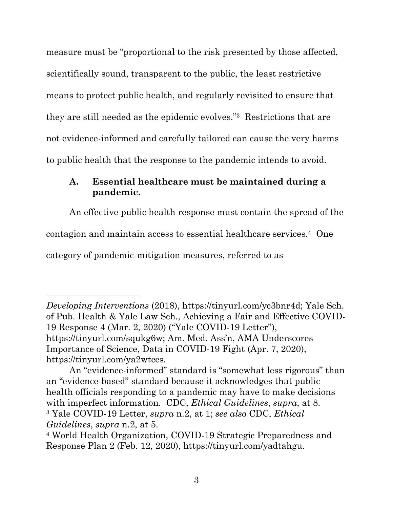<span id="page-11-0"></span> measure must be "proportional to the risk presented by those affected, scientifically sound, transparent to the public, the least restrictive means to protect public health, and regularly revisited to ensure that they are still needed as the epidemic evolves."3 Restrictions that are not evidence-informed and carefully tailored can cause the very harms to public health that the response to the pandemic intends to avoid.

### **A. Essential healthcare must be maintained during a pandemic.**

An effective public health response must contain the spread of the

contagion and maintain access to essential healthcare services.4 One

category of pandemic-mitigation measures, referred to as

 *Developing Interventions* (2018), https://tinyurl.com/yc3bnr4d; Yale Sch. of Pub. Health & Yale Law Sch., Achieving a Fair and Effective COVID- 19 Response 4 (Mar. 2, 2020) ("Yale COVID-19 Letter"), https://tinyurl.com/squkg6w; Am. Med. Ass'n, AMA Underscores Importance of Science, Data in COVID-19 Fight (Apr. 7, 2020), https://tinyurl.com/ya2wtccs.

 An "evidence-informed" standard is "somewhat less rigorous" than an "evidence-based" standard because it acknowledges that public health officials responding to a pandemic may have to make decisions with imperfect information. CDC, *Ethical Guidelines*, *supra*, at 8. 3 Yale COVID-19 Letter, *supra* n.2, at 1; *see also* CDC, *Ethical Guidelines*, *supra* n.2, at 5.

 4 World Health Organization, COVID-19 Strategic Preparedness and Response Plan 2 (Feb. 12, 2020), https://tinyurl.com/yadtahgu.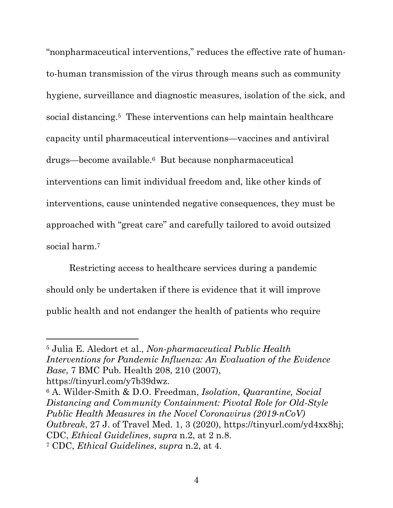"nonpharmaceutical interventions," reduces the effective rate of human- to-human transmission of the virus through means such as community hygiene, surveillance and diagnostic measures, isolation of the sick, and social distancing.<sup>5</sup> These interventions can help maintain healthcare capacity until pharmaceutical interventions—vaccines and antiviral drugs—become available.6 But because nonpharmaceutical interventions can limit individual freedom and, like other kinds of interventions, cause unintended negative consequences, they must be approached with "great care" and carefully tailored to avoid outsized social harm.7

 Restricting access to healthcare services during a pandemic should only be undertaken if there is evidence that it will improve public health and not endanger the health of patients who require

 5 Julia E. Aledort et al., *Non-pharmaceutical Public Health Interventions for Pandemic Influenza: An Evaluation of the Evidence Base*, 7 BMC Pub. Health 208, 210 (2007),

 https://tinyurl.com/y7b39dwz. 6 A. Wilder-Smith & D.O. Freedman, *Isolation, Quarantine, Social Distancing and Community Containment: Pivotal Role for Old-Style Public Health Measures in the Novel Coronavirus (2019-nCoV) Outbreak*, 27 J. of Travel Med. 1, 3 (2020), https://tinyurl.com/yd4xx8hj; CDC, *Ethical Guidelines*, *supra* n.2, at 2 n.8. 7 CDC, *Ethical Guidelines*, *supra* n.2, at 4.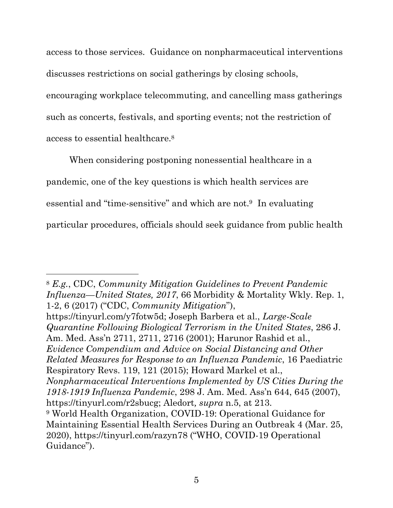<span id="page-13-0"></span> access to those services. Guidance on nonpharmaceutical interventions discusses restrictions on social gatherings by closing schools, encouraging workplace telecommuting, and cancelling mass gatherings such as concerts, festivals, and sporting events; not the restriction of access to essential healthcare.8

 When considering postponing nonessential healthcare in a pandemic, one of the key questions is which health services are essential and "time-sensitive" and which are not.<sup>9</sup> In evaluating particular procedures, officials should seek guidance from public health

 https://tinyurl.com/y7fotw5d; Joseph Barbera et al., *Large-Scale Quarantine Following Biological Terrorism in the United States*, 286 J. Am. Med. Ass'n 2711, 2711, 2716 (2001); Harunor Rashid et al.,  *Evidence Compendium and Advice on Social Distancing and Other Related Measures for Response to an Influenza Pandemic*, 16 Paediatric Respiratory Revs. 119, 121 (2015); Howard Markel et al.,  *Nonpharmaceutical Interventions Implemented by US Cities During the 1918-1919 Influenza Pandemic*, 298 J. Am. Med. Ass'n 644, 645 (2007),  https://tinyurl.com/r2sbucg; Aledort*, supra* n.5, at 213. 9 World Health Organization, COVID-19: Operational Guidance for Maintaining Essential Health Services During an Outbreak 4 (Mar. 25, 2020), https://tinyurl.com/razyn78 ("WHO, COVID-19 Operational Guidance").

 <sup>8</sup>*E.g.*, CDC, *Community Mitigation Guidelines to Prevent Pandemic Influenza—United States, 2017*, 66 Morbidity & Mortality Wkly. Rep. 1, 1-2, 6 (2017) ("CDC, *Community Mitigation*"),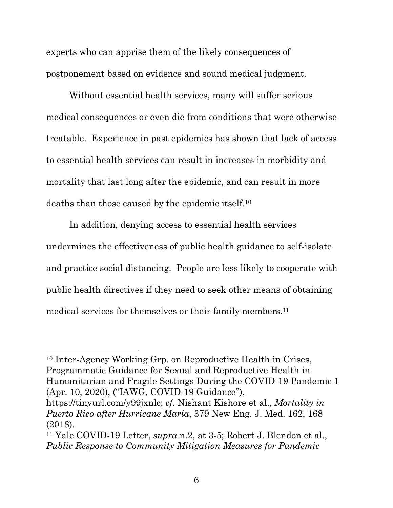<span id="page-14-0"></span> experts who can apprise them of the likely consequences of postponement based on evidence and sound medical judgment.

 Without essential health services, many will suffer serious medical consequences or even die from conditions that were otherwise treatable. Experience in past epidemics has shown that lack of access to essential health services can result in increases in morbidity and mortality that last long after the epidemic, and can result in more deaths than those caused by the epidemic itself.10

 In addition, denying access to essential health services undermines the effectiveness of public health guidance to self-isolate and practice social distancing. People are less likely to cooperate with public health directives if they need to seek other means of obtaining medical services for themselves or their family members.11

 10 Inter-Agency Working Grp. on Reproductive Health in Crises, Programmatic Guidance for Sexual and Reproductive Health in Humanitarian and Fragile Settings During the COVID-19 Pandemic 1 (Apr. 10, 2020), ("IAWG, COVID-19 Guidance"),

 https://tinyurl.com/y99jxnlc; *cf.* Nishant Kishore et al., *Mortality in Puerto Rico after Hurricane Maria*, 379 New Eng. J. Med. 162, 168 (2018).

 11 Yale COVID-19 Letter, *supra* n.2, at 3-5; Robert J. Blendon et al.,  *Public Response to Community Mitigation Measures for Pandemic*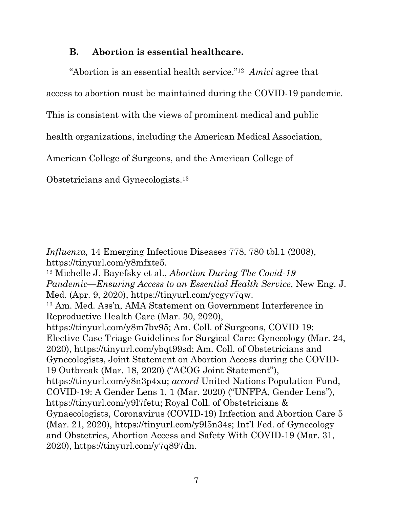### <span id="page-15-0"></span> **B. Abortion is essential healthcare.**

"Abortion is an essential health service."12 *Amici* agree that

access to abortion must be maintained during the COVID-19 pandemic.

This is consistent with the views of prominent medical and public

health organizations, including the American Medical Association,

American College of Surgeons, and the American College of

Obstetricians and Gynecologists.13

 *Influenza,* 14 Emerging Infectious Diseases 778, 780 tbl.1 (2008), https://tinyurl.com/y8mfxte5. https://tinyurl.com/y8mfxte5. 12 Michelle J. Bayefsky et al., *Abortion During The Covid-19* 

 *Pandemic—Ensuring Access to an Essential Health Service*, New Eng. J. Med. (Apr. 9, 2020), https://tinyurl.com/ycgyv7qw.

 13 Am. Med. Ass'n, AMA Statement on Government Interference in Reproductive Health Care (Mar. 30, 2020),

 https://tinyurl.com/y8m7bv95; Am. Coll. of Surgeons, COVID 19: Elective Case Triage Guidelines for Surgical Care: Gynecology (Mar. 24, 2020), https://tinyurl.com/ybqt99sd; Am. Coll. of Obstetricians and Gynecologists, Joint Statement on Abortion Access during the COVID- 19 Outbreak (Mar. 18, 2020) ("ACOG Joint Statement"), https://tinyurl.com/y8n3p4xu; *accord* United Nations Population Fund, COVID-19: A Gender Lens 1, 1 (Mar. 2020) ("UNFPA, Gender Lens"), https://tinyurl.com/y9l7fetu; Royal Coll. of Obstetricians & Gynaecologists, Coronavirus (COVID-19) Infection and Abortion Care 5 (Mar. 21, 2020), https://tinyurl.com/y9l5n34s; Int'l Fed. of Gynecology and Obstetrics, Abortion Access and Safety With COVID-19 (Mar. 31, 2020), https://tinyurl.com/y7q897dn.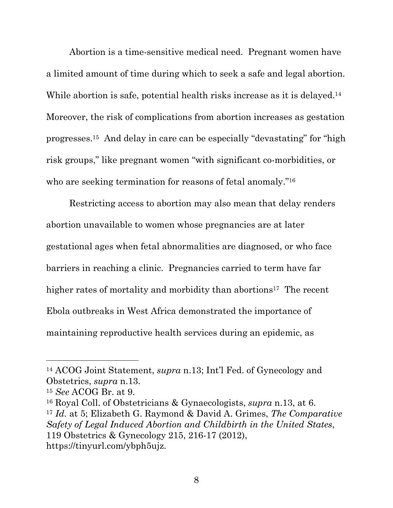Abortion is a time-sensitive medical need. Pregnant women have a limited amount of time during which to seek a safe and legal abortion. While abortion is safe, potential health risks increase as it is delayed.<sup>14</sup> Moreover, the risk of complications from abortion increases as gestation progresses.15 And delay in care can be especially "devastating" for "high risk groups," like pregnant women "with significant co-morbidities, or who are seeking termination for reasons of fetal anomaly."<sup>16</sup>

 Restricting access to abortion may also mean that delay renders abortion unavailable to women whose pregnancies are at later gestational ages when fetal abnormalities are diagnosed, or who face barriers in reaching a clinic. Pregnancies carried to term have far higher rates of mortality and morbidity than abortions<sup>17</sup> The recent Ebola outbreaks in West Africa demonstrated the importance of maintaining reproductive health services during an epidemic, as

 14 ACOG Joint Statement, *supra* n.13; Int'l Fed. of Gynecology and Obstetrics, *supra* n.13. 15 *See* ACOG Br. at 9.

 $15$  See ACOG Br. at 9.

 16 Royal Coll. of Obstetricians & Gynaecologists, *supra* n.13, at 6. <sup>17</sup>*Id.* at 5; Elizabeth G. Raymond & David A. Grimes, *The Comparative Safety of Legal Induced Abortion and Childbirth in the United States*, 119 Obstetrics & Gynecology 215, 216-17 (2012), https://tinyurl.com/ybph5ujz.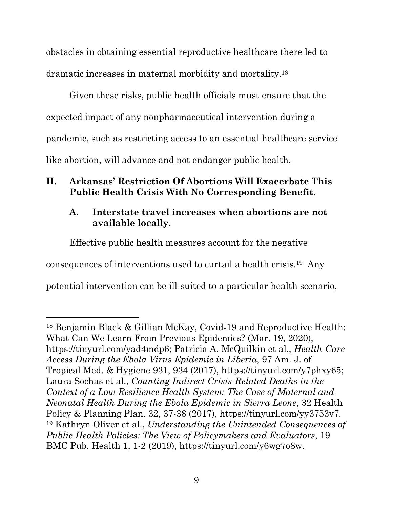<span id="page-17-0"></span> obstacles in obtaining essential reproductive healthcare there led to dramatic increases in maternal morbidity and mortality.18

 Given these risks, public health officials must ensure that the expected impact of any nonpharmaceutical intervention during a pandemic, such as restricting access to an essential healthcare service like abortion, will advance and not endanger public health.

## **II. Arkansas' Restriction Of Abortions Will Exacerbate This Public Health Crisis With No Corresponding Benefit.**

# **A. Interstate travel increases when abortions are not available locally.**

Effective public health measures account for the negative

consequences of interventions used to curtail a health crisis.19 Any

potential intervention can be ill-suited to a particular health scenario,

 18 Benjamin Black & Gillian McKay, Covid-19 and Reproductive Health: What Can We Learn From Previous Epidemics? (Mar. 19, 2020), https://tinyurl.com/yad4mdp6; Patricia A. McQuilkin et al., *Health-Care Access During the Ebola Virus Epidemic in Liberia*, 97 Am. J. of Tropical Med. & Hygiene 931, 934 (2017), https://tinyurl.com/y7phxy65; Laura Sochas et al., *Counting Indirect Crisis-Related Deaths in the Context of a Low-Resilience Health System: The Case of Maternal and Neonatal Health During the Ebola Epidemic in Sierra Leone*, 32 Health Policy & Planning Plan. 32, 37-38 (2017), https://tinyurl.com/yy3753v7. 19 Kathryn Oliver et al., *Understanding the Unintended Consequences of Public Health Policies: The View of Policymakers and Evaluators*, 19 BMC Pub. Health 1, 1-2 (2019), https://tinyurl.com/y6wg7o8w.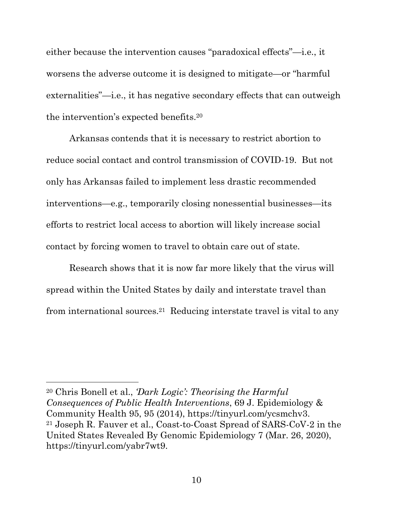either because the intervention causes "paradoxical effects"—i.e., it worsens the adverse outcome it is designed to mitigate—or "harmful externalities"—i.e., it has negative secondary effects that can outweigh the intervention's expected benefits.20

 Arkansas contends that it is necessary to restrict abortion to reduce social contact and control transmission of COVID-19. But not only has Arkansas failed to implement less drastic recommended interventions—e.g., temporarily closing nonessential businesses—its efforts to restrict local access to abortion will likely increase social contact by forcing women to travel to obtain care out of state.

 Research shows that it is now far more likely that the virus will spread within the United States by daily and interstate travel than from international sources.21 Reducing interstate travel is vital to any

 20 Chris Bonell et al., *'Dark Logic': Theorising the Harmful Consequences of Public Health Interventions*, 69 J. Epidemiology & Community Health 95, 95 (2014), https://tinyurl.com/ycsmchv3. 21 Joseph R. Fauver et al., Coast-to-Coast Spread of SARS-CoV-2 in the United States Revealed By Genomic Epidemiology 7 (Mar. 26, 2020), https://tinyurl.com/yabr7wt9.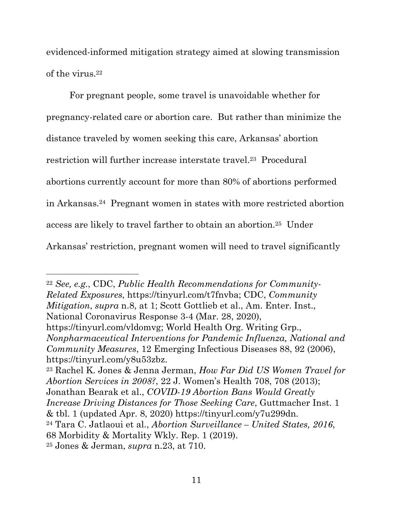<span id="page-19-0"></span> evidenced-informed mitigation strategy aimed at slowing transmission of the virus.<sup>22</sup>

 For pregnant people, some travel is unavoidable whether for pregnancy-related care or abortion care. But rather than minimize the distance traveled by women seeking this care, Arkansas' abortion restriction will further increase interstate travel.<sup>23</sup> Procedural abortions currently account for more than 80% of abortions performed in Arkansas.24 Pregnant women in states with more restricted abortion access are likely to travel farther to obtain an abortion.25 Under

Arkansas' restriction, pregnant women will need to travel significantly

 22 *See, e.g.*, CDC, *Public Health Recommendations for Community- Related Exposures*, https://tinyurl.com/t7fnvba; CDC, *Community Mitigation*, *supra* n.8, at 1; Scott Gottlieb et al., Am. Enter. Inst., National Coronavirus Response 3-4 (Mar. 28, 2020),

 https://tinyurl.com/vldomvg; World Health Org. Writing Grp.,  *Nonpharmaceutical Interventions for Pandemic Influenza, National and Community Measures*, 12 Emerging Infectious Diseases 88, 92 (2006), https://tinyurl.com/y8u53zbz. 23 Rachel K. Jones & Jenna Jerman, *How Far Did US Women Travel for* 

 *Abortion Services in 2008?*, 22 J. Women's Health 708, 708 (2013); Jonathan Bearak et al., *COVID-19 Abortion Bans Would Greatly Increase Driving Distances for Those Seeking Care*, Guttmacher Inst. 1 & tbl. 1 (updated Apr. 8, 2020) https://tinyurl.com/y7u299dn. 24 Tara C. Jatlaoui et al., *Abortion Surveillance – United States, 2016*, 68 Morbidity & Mortality Wkly. Rep. 1 (2019). 25 Jones & Jerman, *supra* n.23, at 710.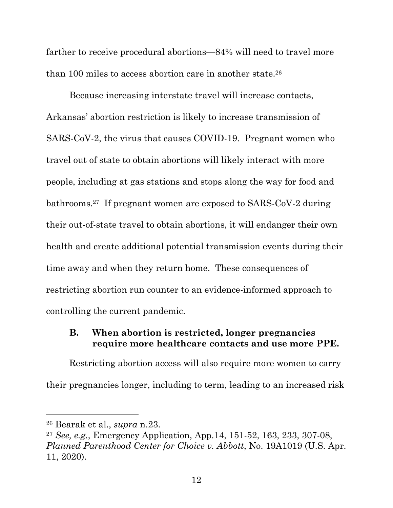<span id="page-20-0"></span> farther to receive procedural abortions—84% will need to travel more than 100 miles to access abortion care in another state.26

 Because increasing interstate travel will increase contacts, Arkansas' abortion restriction is likely to increase transmission of SARS-CoV-2, the virus that causes COVID-19. Pregnant women who travel out of state to obtain abortions will likely interact with more people, including at gas stations and stops along the way for food and bathrooms.27 If pregnant women are exposed to SARS-CoV-2 during their out-of-state travel to obtain abortions, it will endanger their own health and create additional potential transmission events during their time away and when they return home. These consequences of restricting abortion run counter to an evidence-informed approach to controlling the current pandemic.

#### **B. When abortion is restricted, longer pregnancies require more healthcare contacts and use more PPE.**

 Restricting abortion access will also require more women to carry their pregnancies longer, including to term, leading to an increased risk

 26 Bearak et al., *supra* n.23.

 <sup>27</sup>*See, e.g.*, Emergency Application, App.14, 151-52, 163, 233, 307-08,  *Planned Parenthood Center for Choice v. Abbott*, No. 19A1019 (U.S. Apr. 11, 2020).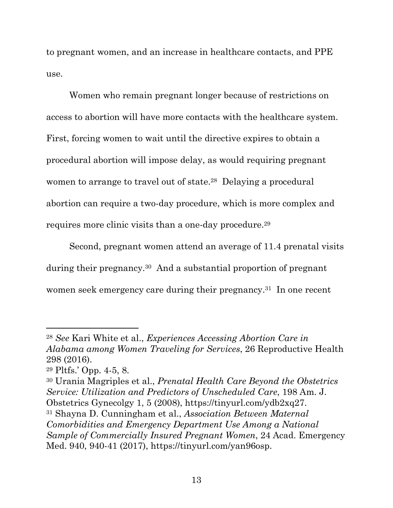to pregnant women, and an increase in healthcare contacts, and PPE use.

 Women who remain pregnant longer because of restrictions on access to abortion will have more contacts with the healthcare system. First, forcing women to wait until the directive expires to obtain a procedural abortion will impose delay, as would requiring pregnant women to arrange to travel out of state.<sup>28</sup> Delaying a procedural abortion can require a two-day procedure, which is more complex and requires more clinic visits than a one-day procedure.29

 Second, pregnant women attend an average of 11.4 prenatal visits during their pregnancy.30 And a substantial proportion of pregnant women seek emergency care during their pregnancy.<sup>31</sup> In one recent

 30 Urania Magriples et al., *Prenatal Health Care Beyond the Obstetrics Service: Utilization and Predictors of Unscheduled Care*, 198 Am. J. Obstetrics Gynecolgy 1, 5 (2008), https://tinyurl.com/ydb2xq27. Obstetrics Gynecolgy 1, 5 (2008), https://tinyurl.com/ydb2xq27. 31 Shayna D. Cunningham et al., *Association Between Maternal Comorbidities and Emergency Department Use Among a National Sample of Commercially Insured Pregnant Women*, 24 Acad. Emergency Med. 940, 940-41 (2017), https://tinyurl.com/yan96osp.

 <sup>28</sup>*See* Kari White et al., *Experiences Accessing Abortion Care in Alabama among Women Traveling for Services*, 26 Reproductive Health 298 (2016).

 29 Pltfs.' Opp. 4-5, 8.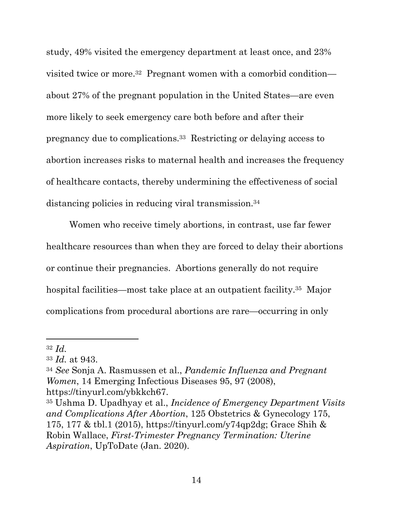<span id="page-22-0"></span> study, 49% visited the emergency department at least once, and 23% visited twice or more.32 Pregnant women with a comorbid condition— about 27% of the pregnant population in the United States—are even more likely to seek emergency care both before and after their pregnancy due to complications.33 Restricting or delaying access to abortion increases risks to maternal health and increases the frequency of healthcare contacts, thereby undermining the effectiveness of social distancing policies in reducing viral transmission.<sup>34</sup>

 Women who receive timely abortions, in contrast, use far fewer healthcare resources than when they are forced to delay their abortions or continue their pregnancies. Abortions generally do not require hospital facilities—most take place at an outpatient facility.<sup>35</sup> Major complications from procedural abortions are rare—occurring in only

<sup>32</sup>*Id.* 

 <sup>33</sup>*Id.* at 943.

 <sup>34</sup>*See* Sonja A. Rasmussen et al., *Pandemic Influenza and Pregnant Women*, 14 Emerging Infectious Diseases 95, 97 (2008),

 https://tinyurl.com/ybkkch67. 35 Ushma D. Upadhyay et al., *Incidence of Emergency Department Visits and Complications After Abortion*, 125 Obstetrics & Gynecology 175, 175, 177 & tbl.1 (2015), https://tinyurl.com/y74qp2dg; Grace Shih & Robin Wallace, *First-Trimester Pregnancy Termination: Uterine Aspiration*, UpToDate (Jan. 2020).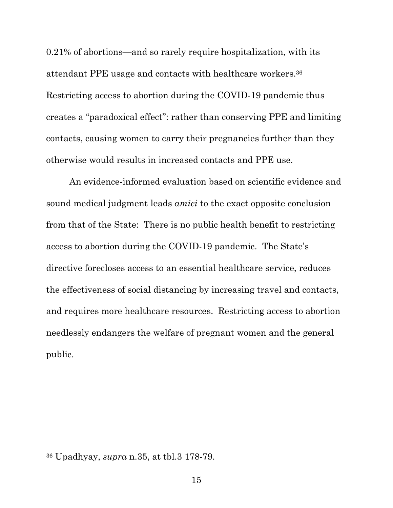0.21% of abortions—and so rarely require hospitalization, with its attendant PPE usage and contacts with healthcare workers.36 Restricting access to abortion during the COVID-19 pandemic thus creates a "paradoxical effect": rather than conserving PPE and limiting contacts, causing women to carry their pregnancies further than they otherwise would results in increased contacts and PPE use.

 An evidence-informed evaluation based on scientific evidence and sound medical judgment leads *amici* to the exact opposite conclusion from that of the State: There is no public health benefit to restricting access to abortion during the COVID-19 pandemic. The State's directive forecloses access to an essential healthcare service, reduces the effectiveness of social distancing by increasing travel and contacts, and requires more healthcare resources. Restricting access to abortion needlessly endangers the welfare of pregnant women and the general public. public. 36 Upadhyay, *supra* n.35, at tbl.3 178-79.

<sup>&</sup>lt;sup>36</sup> Upadhyay, *supra* n.35, at tbl.3 178-79.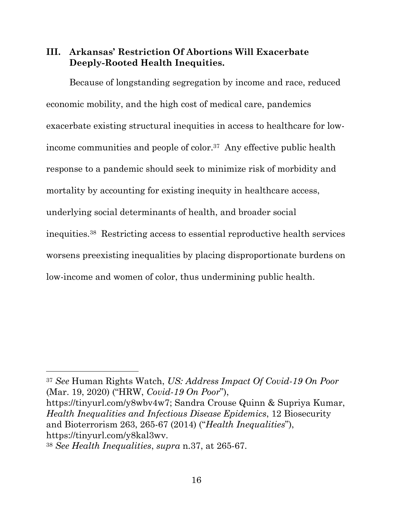### <span id="page-24-0"></span> **III. Arkansas' Restriction Of Abortions Will Exacerbate Deeply-Rooted Health Inequities.**

 Because of longstanding segregation by income and race, reduced economic mobility, and the high cost of medical care, pandemics exacerbate existing structural inequities in access to healthcare for lowincome communities and people of color.<sup>37</sup> Any effective public health response to a pandemic should seek to minimize risk of morbidity and mortality by accounting for existing inequity in healthcare access, underlying social determinants of health, and broader social inequities.38 Restricting access to essential reproductive health services worsens preexisting inequalities by placing disproportionate burdens on low-income and women of color, thus undermining public health.

 <sup>37</sup>*See* Human Rights Watch, *US: Address Impact Of Covid-19 On Poor*  (Mar. 19, 2020) ("HRW, *Covid-19 On Poor*"),

 https://tinyurl.com/y8wbv4w7; Sandra Crouse Quinn & Supriya Kumar,  *Health Inequalities and Infectious Disease Epidemics*, 12 Biosecurity and Bioterrorism 263, 265-67 (2014) ("*Health Inequalities*"), https://tinyurl.com/y8kal3wv.  https://tinyurl.com/y8kal3wv. 38 *See Health Inequalities*, *supra* n.37, at 265-67.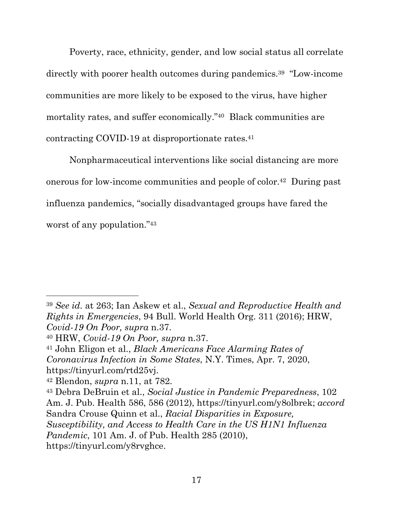<span id="page-25-0"></span> Poverty, race, ethnicity, gender, and low social status all correlate directly with poorer health outcomes during pandemics.39 "Low-income communities are more likely to be exposed to the virus, have higher mortality rates, and suffer economically."40 Black communities are contracting COVID-19 at disproportionate rates.41

 Nonpharmaceutical interventions like social distancing are more onerous for low-income communities and people of color.42 During past influenza pandemics, "socially disadvantaged groups have fared the worst of any population."43

 <sup>39</sup>*See id.* at 263; Ian Askew et al., *Sexual and Reproductive Health and Rights in Emergencies*, 94 Bull. World Health Org. 311 (2016); HRW,  *Covid-19 On Poor, supra* n.37.

 40 HRW, *Covid-19 On Poor, supra* n.37.

 41 John Eligon et al., *Black Americans Face Alarming Rates of Coronavirus Infection in Some States*, N.Y. Times, Apr. 7, 2020, https://tinyurl.com/rtd25vj.

 https://tinyurl.com/rtd25vj. 42 Blendon, *supra* n.11, at 782.

 43 Debra DeBruin et al., *Social Justice in Pandemic Preparedness*, 102 Am. J. Pub. Health 586, 586 (2012), https://tinyurl.com/y8olbrek; *accord*  Sandra Crouse Quinn et al., *Racial Disparities in Exposure, Susceptibility, and Access to Health Care in the US H1N1 Influenza Pandemic*, 101 Am. J. of Pub. Health 285 (2010), https://tinyurl.com/y8rvghce.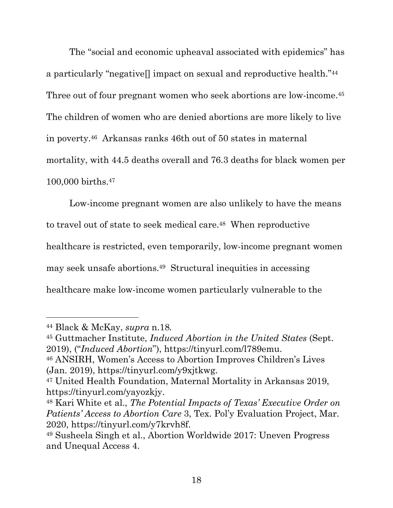<span id="page-26-0"></span> The "social and economic upheaval associated with epidemics" has a particularly "negative[] impact on sexual and reproductive health."44 Three out of four pregnant women who seek abortions are low-income.<sup>45</sup> The children of women who are denied abortions are more likely to live in poverty.46 Arkansas ranks 46th out of 50 states in maternal mortality, with 44.5 deaths overall and 76.3 deaths for black women per 100,000 births.47

 Low-income pregnant women are also unlikely to have the means to travel out of state to seek medical care.<sup>48</sup> When reproductive healthcare is restricted, even temporarily, low-income pregnant women may seek unsafe abortions.49 Structural inequities in accessing healthcare make low-income women particularly vulnerable to the

 44 Black & McKay, *supra* n.18*.* 

 45 Guttmacher Institute, *Induced Abortion in the United States* (Sept.

 2019), ("*Induced Abortion*"), https://tinyurl.com/l789emu. 46 ANSIRH, Women's Access to Abortion Improves Children's Lives (Jan. 2019), https://tinyurl.com/y9xjtkwg.

 47 United Health Foundation, Maternal Mortality in Arkansas 2019,

 https://tinyurl.com/yayozkjy. 48 Kari White et al., *The Potential Impacts of Texas' Executive Order on Patients' Access to Abortion Care* 3, Tex. Pol'y Evaluation Project, Mar.

 2020, https://tinyurl.com/y7krvh8f. 49 Susheela Singh et al., Abortion Worldwide 2017: Uneven Progress and Unequal Access 4.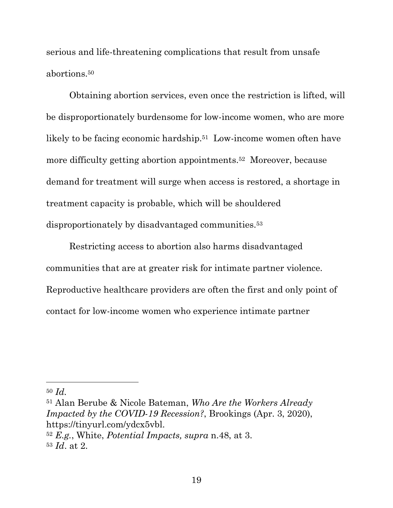<span id="page-27-0"></span> serious and life-threatening complications that result from unsafe abortions.50

 Obtaining abortion services, even once the restriction is lifted, will be disproportionately burdensome for low-income women, who are more likely to be facing economic hardship.<sup>51</sup> Low-income women often have more difficulty getting abortion appointments.52 Moreover, because demand for treatment will surge when access is restored, a shortage in treatment capacity is probable, which will be shouldered disproportionately by disadvantaged communities.53

 Restricting access to abortion also harms disadvantaged communities that are at greater risk for intimate partner violence. Reproductive healthcare providers are often the first and only point of contact for low-income women who experience intimate partner

<sup>50</sup>*Id.* 

 51 Alan Berube & Nicole Bateman, *Who Are the Workers Already Impacted by the COVID-19 Recession?*, Brookings (Apr. 3, 2020),  <sup>52</sup>*E.g.*, White, *Potential Impacts, supra* n.48, at 3. https://tinyurl.com/ydcx5vbl.

 <sup>53</sup>*Id*. at 2.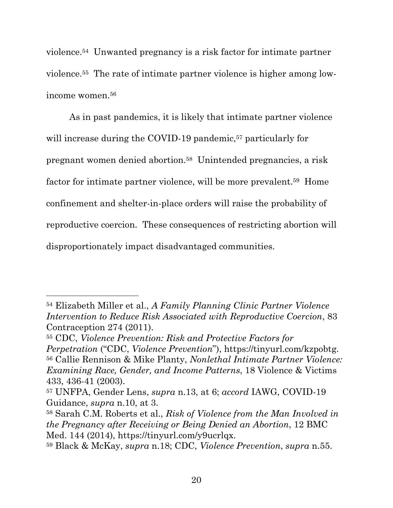violence.54 Unwanted pregnancy is a risk factor for intimate partner violence.55 The rate of intimate partner violence is higher among lowincome women.56

 As in past pandemics, it is likely that intimate partner violence will increase during the COVID-19 pandemic,<sup>57</sup> particularly for pregnant women denied abortion.58 Unintended pregnancies, a risk factor for intimate partner violence, will be more prevalent.<sup>59</sup> Home confinement and shelter-in-place orders will raise the probability of reproductive coercion. These consequences of restricting abortion will disproportionately impact disadvantaged communities.

 54 Elizabeth Miller et al., *A Family Planning Clinic Partner Violence Intervention to Reduce Risk Associated with Reproductive Coercion*, 83 Contraception 274 (2011).

 55 CDC, *Violence Prevention: Risk and Protective Factors for Perpetration* ("CDC, *Violence Prevention*"), https://tinyurl.com/kzpobtg. 56 Callie Rennison & Mike Planty, *Nonlethal Intimate Partner Violence: Examining Race, Gender, and Income Patterns*, 18 Violence & Victims 433, 436-41 (2003).

 57 UNFPA, Gender Lens, *supra* n.13, at 6; *accord* IAWG, COVID-19 Guidance, *supra* n.10, at 3.

 58 Sarah C.M. Roberts et al., *Risk of Violence from the Man Involved in the Pregnancy after Receiving or Being Denied an Abortion*, 12 BMC Med. 144 (2014), https://tinyurl.com/y9ucrlqx.

 59 Black & McKay, *supra* n.18; CDC, *Violence Prevention*, *supra* n.55.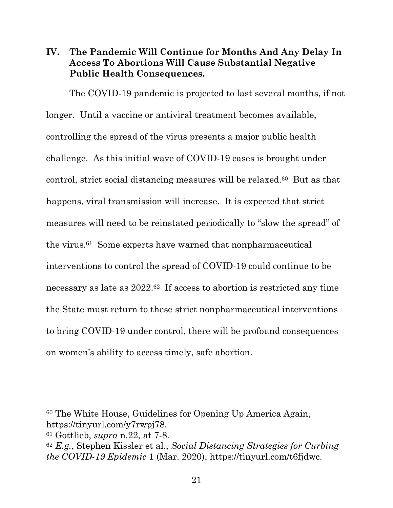### <span id="page-29-0"></span> **IV. The Pandemic Will Continue for Months And Any Delay In Access To Abortions Will Cause Substantial Negative Public Health Consequences.**

 The COVID-19 pandemic is projected to last several months, if not longer. Until a vaccine or antiviral treatment becomes available, controlling the spread of the virus presents a major public health challenge. As this initial wave of COVID-19 cases is brought under control, strict social distancing measures will be relaxed.60 But as that happens, viral transmission will increase. It is expected that strict measures will need to be reinstated periodically to "slow the spread" of the virus.61 Some experts have warned that nonpharmaceutical interventions to control the spread of COVID-19 could continue to be necessary as late as 2022.62 If access to abortion is restricted any time the State must return to these strict nonpharmaceutical interventions to bring COVID-19 under control, there will be profound consequences on women's ability to access timely, safe abortion.

 60 The White House, Guidelines for Opening Up America Again, https://tinyurl.com/y7rwpj78.

 61 Gottlieb, *supra* n.22, at 7-8.

 <sup>62</sup>*E.g.*, Stephen Kissler et al., *Social Distancing Strategies for Curbing the COVID-19 Epidemic* 1 (Mar. 2020), https://tinyurl.com/t6fjdwc.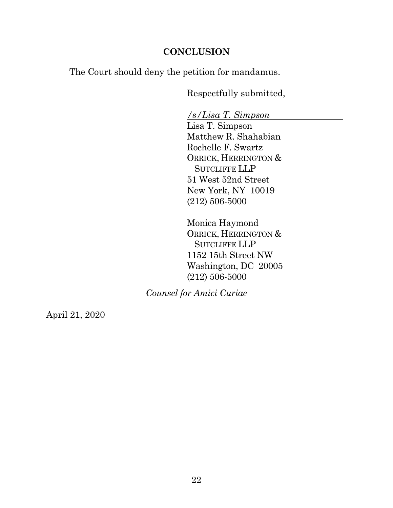### **CONCLUSION**

<span id="page-30-0"></span>The Court should deny the petition for mandamus.

Respectfully submitted,

 */s/Lisa T. Simpson* 

 Lisa T. Simpson Matthew R. Shahabian Rochelle F. Swartz 51 West 52nd Street New York, NY 10019 ORRICK, HERRINGTON & SUTCLIFFE LLP (212) 506-5000

 Monica Haymond 1152 15th Street NW Washington, DC 20005 (212) 506-5000 ORRICK, HERRINGTON & SUTCLIFFE LLP

 *Counsel for Amici Curiae* 

April 21, 2020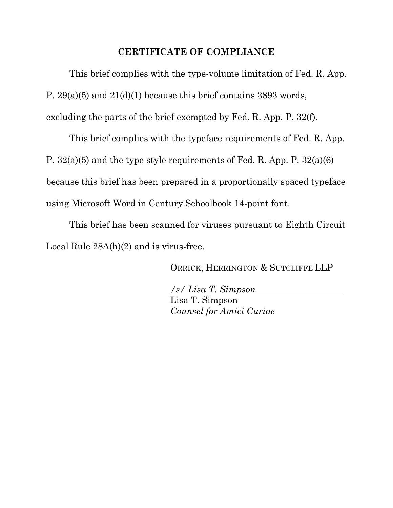#### **CERTIFICATE OF COMPLIANCE**

 This brief complies with the type-volume limitation of Fed. R. App. P. 29(a)(5) and 21(d)(1) because this brief contains 3893 words, excluding the parts of the brief exempted by Fed. R. App. P. 32(f).

 This brief complies with the typeface requirements of Fed. R. App. P. 32(a)(5) and the type style requirements of Fed. R. App. P. 32(a)(6) because this brief has been prepared in a proportionally spaced typeface using Microsoft Word in Century Schoolbook 14-point font.

 This brief has been scanned for viruses pursuant to Eighth Circuit Local Rule 28A(h)(2) and is virus-free.

ORRICK, HERRINGTON & SUTCLIFFE LLP

 */s/ Lisa T. Simpson*  Lisa T. Simpson  *Counsel for Amici Curiae*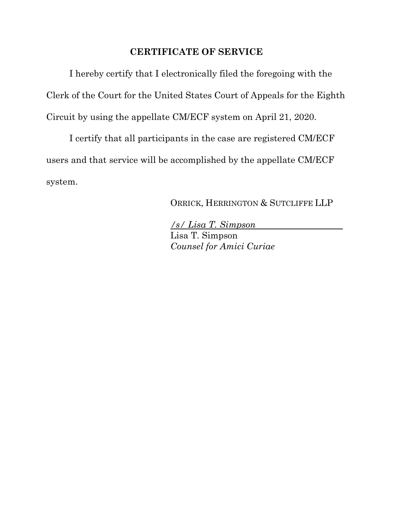### **CERTIFICATE OF SERVICE**

 I hereby certify that I electronically filed the foregoing with the Clerk of the Court for the United States Court of Appeals for the Eighth Circuit by using the appellate CM/ECF system on April 21, 2020.

 I certify that all participants in the case are registered CM/ECF users and that service will be accomplished by the appellate CM/ECF system.

ORRICK, HERRINGTON & SUTCLIFFE LLP

 */s/ Lisa T. Simpson*  Lisa T. Simpson  *Counsel for Amici Curiae*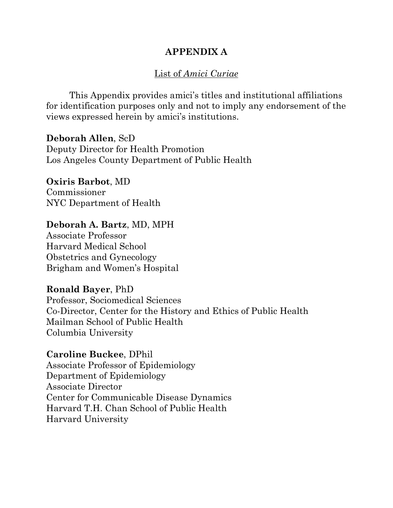### **APPENDIX A**

### List of *Amici Curiae*

 This Appendix provides amici's titles and institutional affiliations for identification purposes only and not to imply any endorsement of the views expressed herein by amici's institutions.

 Deputy Director for Health Promotion Los Angeles County Department of Public Health **Deborah Allen**, ScD

 NYC Department of Health **Oxiris Barbot**, MD Commissioner

#### **Deborah A. Bartz**, MD, MPH

 Associate Professor Harvard Medical School Obstetrics and Gynecology Brigham and Women's Hospital

#### **Ronald Bayer**, PhD

 Co-Director, Center for the History and Ethics of Public Health Mailman School of Public Health Columbia University Professor, Sociomedical Sciences

 **Caroline Buckee**, DPhil Associate Professor of Epidemiology Department of Epidemiology Associate Director Center for Communicable Disease Dynamics Harvard T.H. Chan School of Public Health Harvard University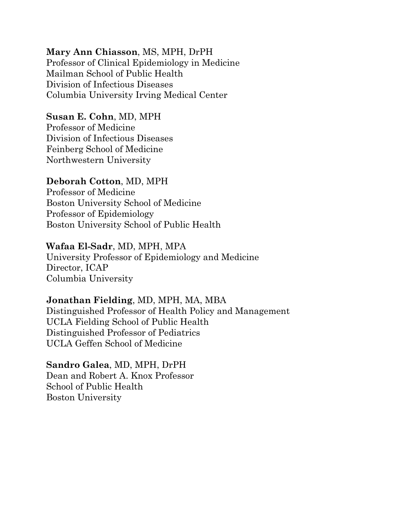### **Mary Ann Chiasson**, MS, MPH, DrPH

 Professor of Clinical Epidemiology in Medicine Mailman School of Public Health Division of Infectious Diseases Columbia University Irving Medical Center

### **Susan E. Cohn**, MD, MPH

 Professor of Medicine Division of Infectious Diseases Feinberg School of Medicine Northwestern University

## **Deborah Cotton**, MD, MPH

 Professor of Medicine Boston University School of Medicine Professor of Epidemiology Boston University School of Public Health

### **Wafaa El-Sadr**, MD, MPH, MPA

 University Professor of Epidemiology and Medicine Director, ICAP Columbia University

## **Jonathan Fielding**, MD, MPH, MA, MBA

 Distinguished Professor of Health Policy and Management UCLA Fielding School of Public Health UCLA Geffen School of Medicine Distinguished Professor of Pediatrics

### **Sandro Galea**, MD, MPH, DrPH

 Dean and Robert A. Knox Professor School of Public Health Boston University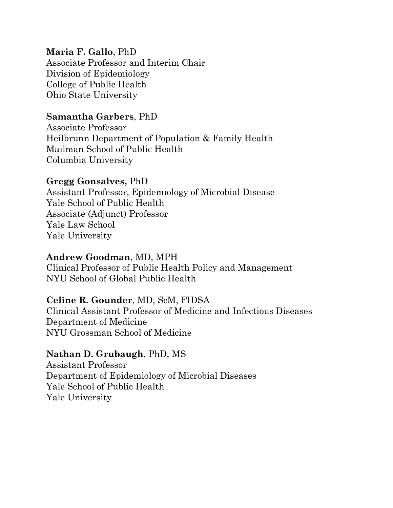### **Maria F. Gallo**, PhD

 Associate Professor and Interim Chair Division of Epidemiology College of Public Health Ohio State University

### **Samantha Garbers**, PhD

 Associate Professor Heilbrunn Department of Population & Family Health Mailman School of Public Health Columbia University

### **Gregg Gonsalves,** PhD

 Assistant Professor, Epidemiology of Microbial Disease Yale School of Public Health Yale Law School Yale University Associate (Adjunct) Professor

#### **Andrew Goodman**, MD, MPH

 Clinical Professor of Public Health Policy and Management NYU School of Global Public Health

### **Celine R. Gounder**, MD, ScM, FIDSA

 Clinical Assistant Professor of Medicine and Infectious Diseases Department of Medicine NYU Grossman School of Medicine

### **Nathan D. Grubaugh**, PhD, MS

 Department of Epidemiology of Microbial Diseases Yale School of Public Health Yale University Assistant Professor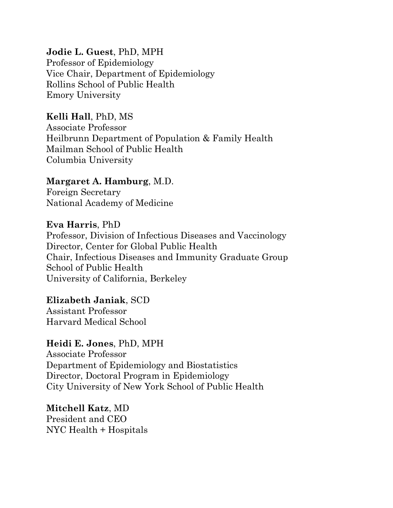### **Jodie L. Guest**, PhD, MPH

 Professor of Epidemiology Vice Chair, Department of Epidemiology Rollins School of Public Health Emory University

### **Kelli Hall**, PhD, MS

 Associate Professor Heilbrunn Department of Population & Family Health Mailman School of Public Health Columbia University

### **Margaret A. Hamburg**, M.D.

 Foreign Secretary National Academy of Medicine

 **Eva Harris**, PhD Professor, Division of Infectious Diseases and Vaccinology Director, Center for Global Public Health Chair, Infectious Diseases and Immunity Graduate Group School of Public Health University of California, Berkeley

 **Elizabeth Janiak**, SCD Harvard Medical School Assistant Professor

### **Heidi E. Jones**, PhD, MPH

 Associate Professor Department of Epidemiology and Biostatistics Director, Doctoral Program in Epidemiology City University of New York School of Public Health

 President and CEO NYC Health + Hospitals **Mitchell Katz**, MD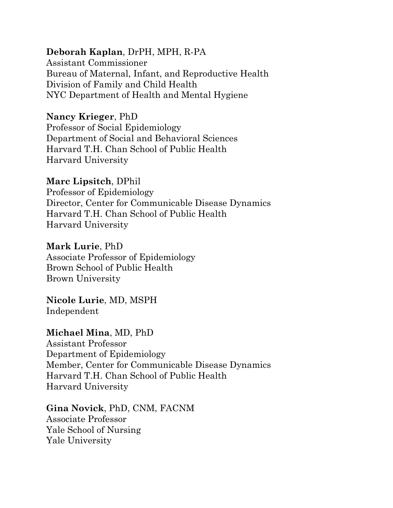### **Deborah Kaplan**, DrPH, MPH, R-PA

 Bureau of Maternal, Infant, and Reproductive Health Division of Family and Child Health NYC Department of Health and Mental Hygiene Assistant Commissioner

### **Nancy Krieger**, PhD

 Professor of Social Epidemiology Department of Social and Behavioral Sciences Harvard T.H. Chan School of Public Health Harvard University

### **Marc Lipsitch**, DPhil

 Professor of Epidemiology Director, Center for Communicable Disease Dynamics Harvard T.H. Chan School of Public Health Harvard University

### **Mark Lurie**, PhD

 Associate Professor of Epidemiology Brown School of Public Health Brown University

#### **Nicole Lurie**, MD, MSPH Independent

### **Michael Mina**, MD, PhD

 Department of Epidemiology Member, Center for Communicable Disease Dynamics Harvard T.H. Chan School of Public Health Assistant Professor Harvard University

#### **Gina Novick**, PhD, CNM, FACNM

 Associate Professor Yale School of Nursing Yale University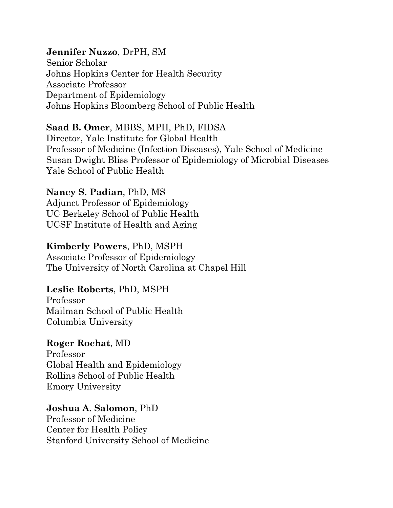### **Jennifer Nuzzo**, DrPH, SM

 Senior Scholar Johns Hopkins Center for Health Security Associate Professor Department of Epidemiology Johns Hopkins Bloomberg School of Public Health

### **Saad B. Omer**, MBBS, MPH, PhD, FIDSA

 Director, Yale Institute for Global Health Professor of Medicine (Infection Diseases), Yale School of Medicine Susan Dwight Bliss Professor of Epidemiology of Microbial Diseases Yale School of Public Health

### **Nancy S. Padian**, PhD, MS

 Adjunct Professor of Epidemiology UC Berkeley School of Public Health UCSF Institute of Health and Aging

### **Kimberly Powers**, PhD, MSPH

 Associate Professor of Epidemiology The University of North Carolina at Chapel Hill

#### **Leslie Roberts**, PhD, MSPH

 Mailman School of Public Health Columbia University Professor

### **Roger Rochat**, MD

 Global Health and Epidemiology Rollins School of Public Health Emory University Professor

#### **Joshua A. Salomon**, PhD

 Professor of Medicine Center for Health Policy Stanford University School of Medicine